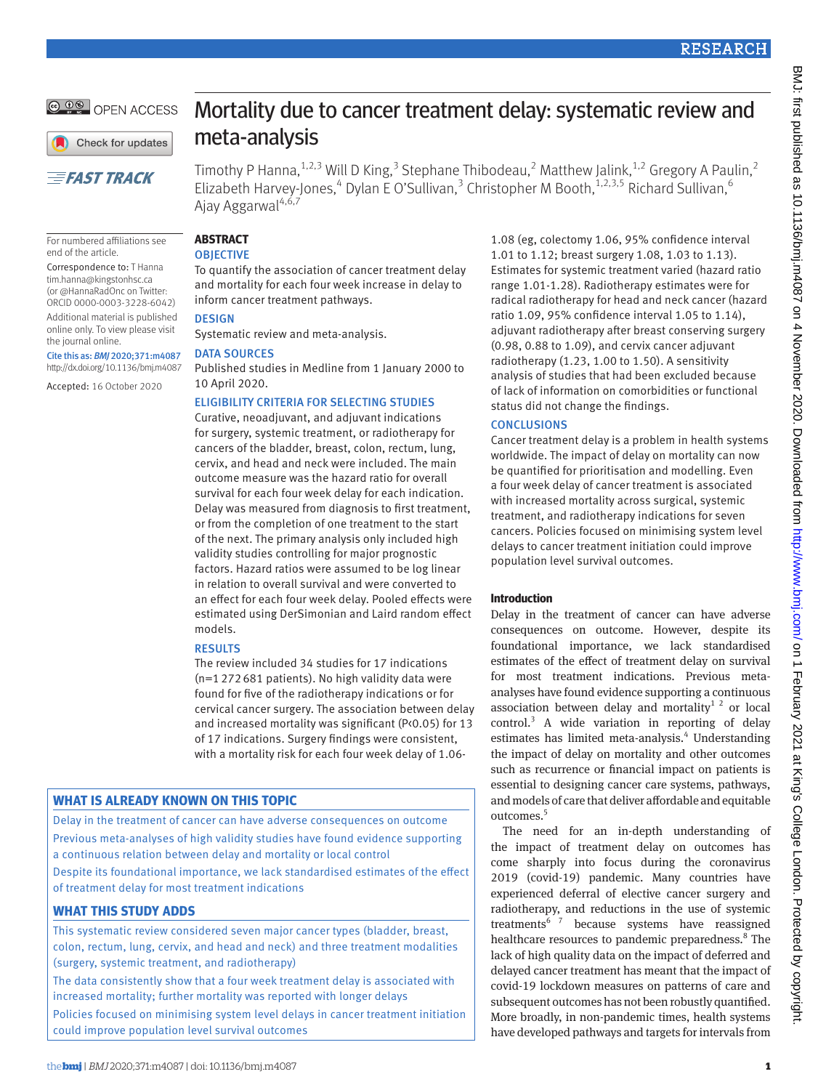

Check for updates

# **EFAST TRACK**

For numbered affiliations see end of the article.

Correspondence to: T Hanna [tim.hanna@kingstonhsc.ca](mailto:tim.hanna@kingstonhsc.ca) (or [@HannaRadOnc](https://twitter.com/hannaradonc) on Twitter: ORCID [0000-0003-3228-6042\)](http://orcid.org/0000-0003-3228-6042)

Additional material is published online only. To view please visit the journal online.

Cite this as: *BMJ* 2020;371:m4087 http://dx.doi.org/10.1136/bmj.m4087

Accepted: 16 October 2020

# Mortality due to cancer treatment delay: systematic review and meta-analysis

Timothy P Hanna,  $1.2,3$  Will D King,  $3$  Stephane Thibodeau,  $2$  Matthew Jalink,  $1.2$  Gregory A Paulin,  $2$ Elizabeth Harvey-Jones,<sup>4</sup> Dylan E O'Sullivan,<sup>3</sup> Christopher M Booth,<sup>1,2,3,5</sup> Richard Sullivan,<sup>6</sup> Ajay Aggarwal<sup>4,6,7</sup>

#### **Abstract OBJECTIVE**

To quantify the association of cancer treatment delay and mortality for each four week increase in delay to inform cancer treatment pathways.

#### **DESIGN**

Systematic review and meta-analysis.

#### DATA SOURCES

Published studies in Medline from 1 January 2000 to 10 April 2020.

## Eligibility criteria for selecting studies

Curative, neoadjuvant, and adjuvant indications for surgery, systemic treatment, or radiotherapy for cancers of the bladder, breast, colon, rectum, lung, cervix, and head and neck were included. The main outcome measure was the hazard ratio for overall survival for each four week delay for each indication. Delay was measured from diagnosis to first treatment, or from the completion of one treatment to the start of the next. The primary analysis only included high validity studies controlling for major prognostic factors. Hazard ratios were assumed to be log linear in relation to overall survival and were converted to an effect for each four week delay. Pooled effects were estimated using DerSimonian and Laird random effect models.

#### **RESULTS**

The review included 34 studies for 17 indications (n=1272681 patients). No high validity data were found for five of the radiotherapy indications or for cervical cancer surgery. The association between delay and increased mortality was significant (P<0.05) for 13 of 17 indications. Surgery findings were consistent, with a mortality risk for each four week delay of 1.06-

# **What is already known on this topic**

Delay in the treatment of cancer can have adverse consequences on outcome Previous meta-analyses of high validity studies have found evidence supporting a continuous relation between delay and mortality or local control Despite its foundational importance, we lack standardised estimates of the effect of treatment delay for most treatment indications

# **What this study adds**

This systematic review considered seven major cancer types (bladder, breast, colon, rectum, lung, cervix, and head and neck) and three treatment modalities (surgery, systemic treatment, and radiotherapy)

The data consistently show that a four week treatment delay is associated with increased mortality; further mortality was reported with longer delays Policies focused on minimising system level delays in cancer treatment initiation could improve population level survival outcomes

1.08 (eg, colectomy 1.06, 95% confidence interval 1.01 to 1.12; breast surgery 1.08, 1.03 to 1.13). Estimates for systemic treatment varied (hazard ratio range 1.01-1.28). Radiotherapy estimates were for radical radiotherapy for head and neck cancer (hazard ratio 1.09, 95% confidence interval 1.05 to 1.14), adjuvant radiotherapy after breast conserving surgery (0.98, 0.88 to 1.09), and cervix cancer adjuvant radiotherapy (1.23, 1.00 to 1.50). A sensitivity analysis of studies that had been excluded because of lack of information on comorbidities or functional status did not change the findings.

## **CONCLUSIONS**

Cancer treatment delay is a problem in health systems worldwide. The impact of delay on mortality can now be quantified for prioritisation and modelling. Even a four week delay of cancer treatment is associated with increased mortality across surgical, systemic treatment, and radiotherapy indications for seven cancers. Policies focused on minimising system level delays to cancer treatment initiation could improve population level survival outcomes.

#### **Introduction**

Delay in the treatment of cancer can have adverse consequences on outcome. However, despite its foundational importance, we lack standardised estimates of the effect of treatment delay on survival for most treatment indications. Previous metaanalyses have found evidence supporting a continuous association between delay and mortality<sup>1 2</sup> or local control.<sup>3</sup> A wide variation in reporting of delay estimates has limited meta-analysis.<sup>4</sup> Understanding the impact of delay on mortality and other outcomes such as recurrence or financial impact on patients is essential to designing cancer care systems, pathways, and models of care that deliver affordable and equitable outcomes.<sup>5</sup>

The need for an in-depth understanding of the impact of treatment delay on outcomes has come sharply into focus during the coronavirus 2019 (covid-19) pandemic. Many countries have experienced deferral of elective cancer surgery and radiotherapy, and reductions in the use of systemic treatments<sup>67</sup> because systems have reassigned healthcare resources to pandemic preparedness.<sup>8</sup> The lack of high quality data on the impact of deferred and delayed cancer treatment has meant that the impact of covid-19 lockdown measures on patterns of care and subsequent outcomes has not been robustly quantified. More broadly, in non-pandemic times, health systems have developed pathways and targets for intervals from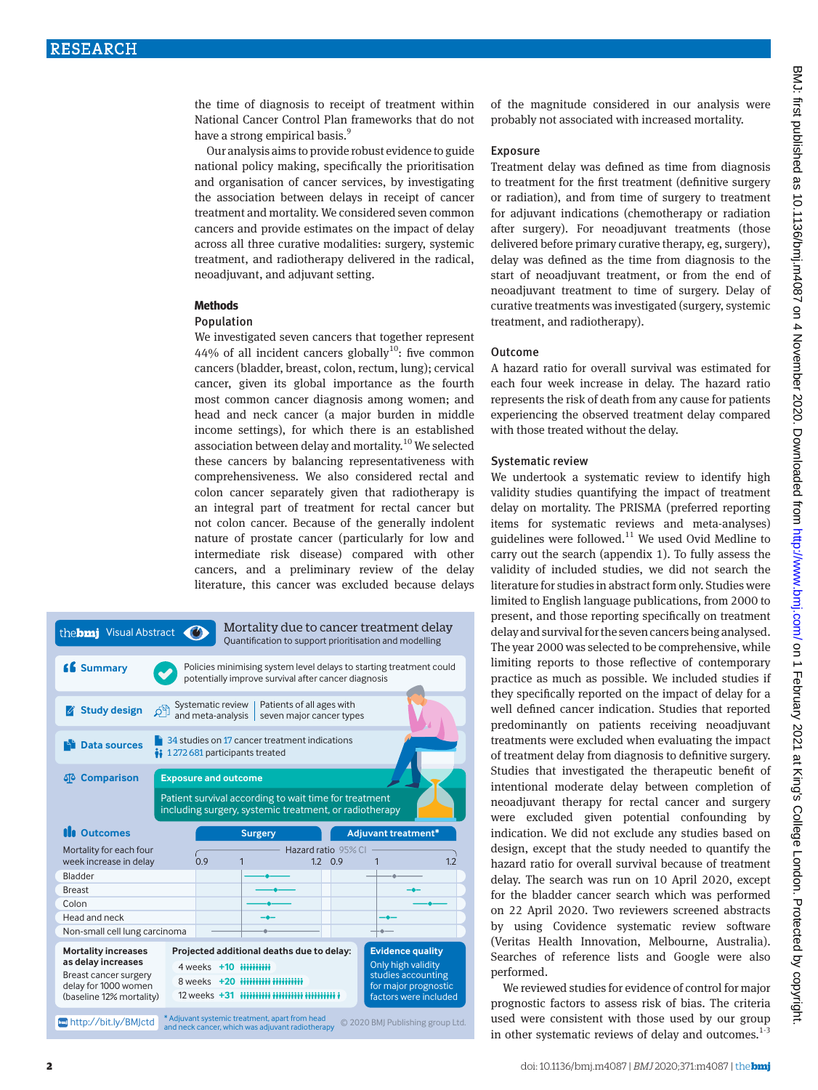the time of diagnosis to receipt of treatment within National Cancer Control Plan frameworks that do not have a strong empirical basis.<sup>9</sup>

Our analysis aims to provide robust evidence to guide national policy making, specifically the prioritisation and organisation of cancer services, by investigating the association between delays in receipt of cancer treatment and mortality. We considered seven common cancers and provide estimates on the impact of delay across all three curative modalities: surgery, systemic treatment, and radiotherapy delivered in the radical, neoadjuvant, and adjuvant setting.

### **Methods**

#### Population

We investigated seven cancers that together represent 44% of all incident cancers globally<sup>10</sup>: five common cancers (bladder, breast, colon, rectum, lung); cervical cancer, given its global importance as the fourth most common cancer diagnosis among women; and head and neck cancer (a major burden in middle income settings), for which there is an established association between delay and mortality.<sup>10</sup> We selected these cancers by balancing representativeness with comprehensiveness. We also considered rectal and colon cancer separately given that radiotherapy is an integral part of treatment for rectal cancer but not colon cancer. Because of the generally indolent nature of prostate cancer (particularly for low and intermediate risk disease) compared with other cancers, and a preliminary review of the delay literature, this cancer was excluded because delays



of the magnitude considered in our analysis were probably not associated with increased mortality.

#### **Exposure**

Treatment delay was defined as time from diagnosis to treatment for the first treatment (definitive surgery or radiation), and from time of surgery to treatment for adjuvant indications (chemotherapy or radiation after surgery). For neoadjuvant treatments (those delivered before primary curative therapy, eg, surgery), delay was defined as the time from diagnosis to the start of neoadjuvant treatment, or from the end of neoadjuvant treatment to time of surgery. Delay of curative treatments was investigated (surgery, systemic treatment, and radiotherapy).

#### Outcome

A hazard ratio for overall survival was estimated for each four week increase in delay. The hazard ratio represents the risk of death from any cause for patients experiencing the observed treatment delay compared with those treated without the delay.

## systematic review

We undertook a systematic review to identify high validity studies quantifying the impact of treatment delay on mortality. The PRISMA (preferred reporting items for systematic reviews and meta-analyses) guidelines were followed. $11$  We used Ovid Medline to carry out the search (appendix 1). To fully assess the validity of included studies, we did not search the literature for studies in abstract form only. Studies were limited to English language publications, from 2000 to present, and those reporting specifically on treatment delay and survival for the seven cancers being analysed. The year 2000 was selected to be comprehensive, while limiting reports to those reflective of contemporary practice as much as possible. We included studies if they specifically reported on the impact of delay for a well defined cancer indication. Studies that reported predominantly on patients receiving neoadjuvant treatments were excluded when evaluating the impact of treatment delay from diagnosis to definitive surgery. Studies that investigated the therapeutic benefit of intentional moderate delay between completion of neoadjuvant therapy for rectal cancer and surgery were excluded given potential confounding by indication. We did not exclude any studies based on design, except that the study needed to quantify the hazard ratio for overall survival because of treatment delay. The search was run on 10 April 2020, except for the bladder cancer search which was performed on 22 April 2020. Two reviewers screened abstracts by using Covidence systematic review software (Veritas Health Innovation, Melbourne, Australia). Searches of reference lists and Google were also performed.

We reviewed studies for evidence of control for major prognostic factors to assess risk of bias. The criteria used were consistent with those used by our group in other systematic reviews of delay and outcomes. $1-3$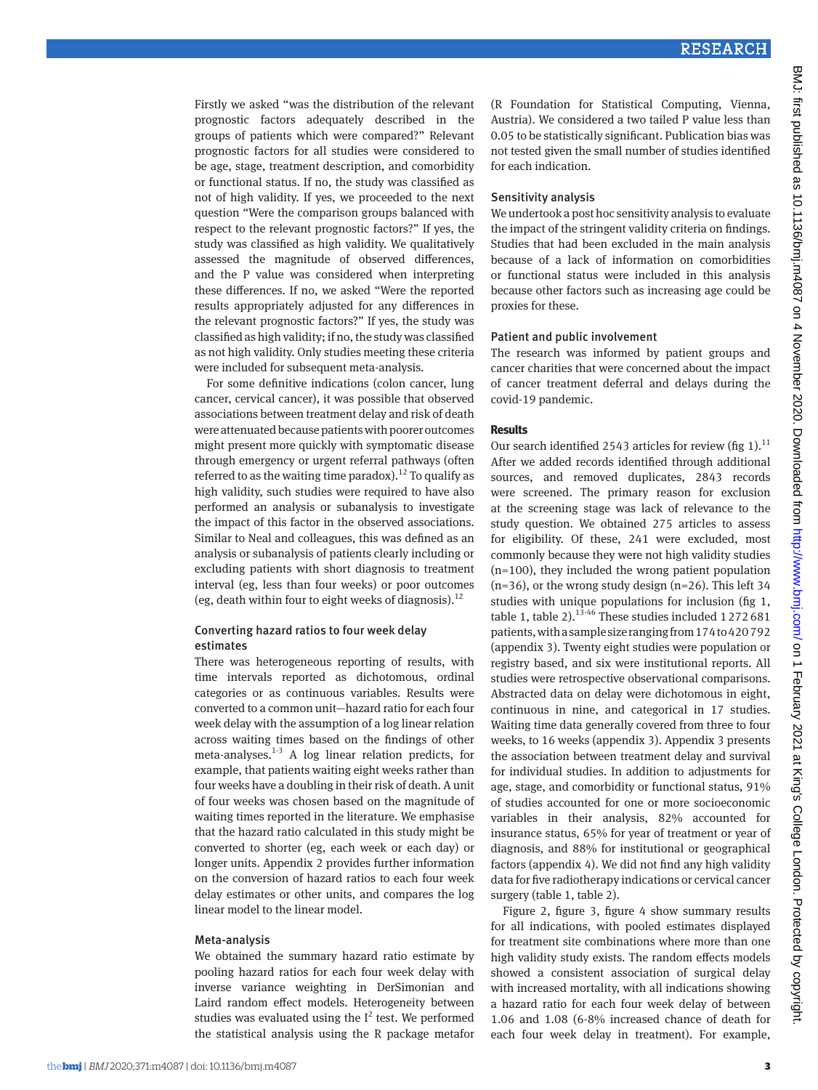Firstly we asked "was the distribution of the relevant prognostic factors adequately described in the groups of patients which were compared?" Relevant prognostic factors for all studies were considered to be age, stage, treatment description, and comorbidity or functional status. If no, the study was classified as not of high validity. If yes, we proceeded to the next question "Were the comparison groups balanced with respect to the relevant prognostic factors?" If yes, the study was classified as high validity. We qualitatively assessed the magnitude of observed differences, and the P value was considered when interpreting these differences. If no, we asked "Were the reported results appropriately adjusted for any differences in the relevant prognostic factors?" If yes, the study was classified as high validity; if no, the study was classified as not high validity. Only studies meeting these criteria were included for subsequent meta-analysis.

For some definitive indications (colon cancer, lung cancer, cervical cancer), it was possible that observed associations between treatment delay and risk of death were attenuated because patients with poorer outcomes might present more quickly with symptomatic disease through emergency or urgent referral pathways (often referred to as the waiting time paradox).<sup>12</sup> To qualify as high validity, such studies were required to have also performed an analysis or subanalysis to investigate the impact of this factor in the observed associations. Similar to Neal and colleagues, this was defined as an analysis or subanalysis of patients clearly including or excluding patients with short diagnosis to treatment interval (eg, less than four weeks) or poor outcomes (eg, death within four to eight weeks of diagnosis).<sup>12</sup>

## Converting hazard ratios to four week delay estimates

There was heterogeneous reporting of results, with time intervals reported as dichotomous, ordinal categories or as continuous variables. Results were converted to a common unit—hazard ratio for each four week delay with the assumption of a log linear relation across waiting times based on the findings of other meta-analyses.<sup>1-3</sup> A log linear relation predicts, for example, that patients waiting eight weeks rather than four weeks have a doubling in their risk of death. A unit of four weeks was chosen based on the magnitude of waiting times reported in the literature. We emphasise that the hazard ratio calculated in this study might be converted to shorter (eg, each week or each day) or longer units. Appendix 2 provides further information on the conversion of hazard ratios to each four week delay estimates or other units, and compares the log linear model to the linear model.

#### Meta-analysis

We obtained the summary hazard ratio estimate by pooling hazard ratios for each four week delay with inverse variance weighting in DerSimonian and Laird random effect models. Heterogeneity between studies was evaluated using the  $I^2$  test. We performed the statistical analysis using the R package metafor

(R Foundation for Statistical Computing, Vienna, Austria). We considered a two tailed P value less than 0.05 to be statistically significant. Publication bias was not tested given the small number of studies identified for each indication.

#### Sensitivity analysis

We undertook a post hoc sensitivity analysis to evaluate the impact of the stringent validity criteria on findings. Studies that had been excluded in the main analysis because of a lack of information on comorbidities or functional status were included in this analysis because other factors such as increasing age could be proxies for these.

#### Patient and public involvement

The research was informed by patient groups and cancer charities that were concerned about the impact of cancer treatment deferral and delays during the covid-19 pandemic.

#### **Results**

Our search identified 2543 articles for review (fig 1).<sup>11</sup> After we added records identified through additional sources, and removed duplicates, 2843 records were screened. The primary reason for exclusion at the screening stage was lack of relevance to the study question. We obtained 275 articles to assess for eligibility. Of these, 241 were excluded, most commonly because they were not high validity studies (n=100), they included the wrong patient population  $(n=36)$ , or the wrong study design  $(n=26)$ . This left 34 studies with unique populations for inclusion (fig 1, table 1, table 2). $13-46$  These studies included 1272681 patients, with a sample size ranging from 174 to 420792 (appendix 3). Twenty eight studies were population or registry based, and six were institutional reports. All studies were retrospective observational comparisons. Abstracted data on delay were dichotomous in eight, continuous in nine, and categorical in 17 studies. Waiting time data generally covered from three to four weeks, to 16 weeks (appendix 3). Appendix 3 presents the association between treatment delay and survival for individual studies. In addition to adjustments for age, stage, and comorbidity or functional status, 91% of studies accounted for one or more socioeconomic variables in their analysis, 82% accounted for insurance status, 65% for year of treatment or year of diagnosis, and 88% for institutional or geographical factors (appendix 4). We did not find any high validity data for five radiotherapy indications or cervical cancer surgery (table 1, table 2).

Figure 2, figure 3, figure 4 show summary results for all indications, with pooled estimates displayed for treatment site combinations where more than one high validity study exists. The random effects models showed a consistent association of surgical delay with increased mortality, with all indications showing a hazard ratio for each four week delay of between 1.06 and 1.08 (6-8% increased chance of death for each four week delay in treatment). For example,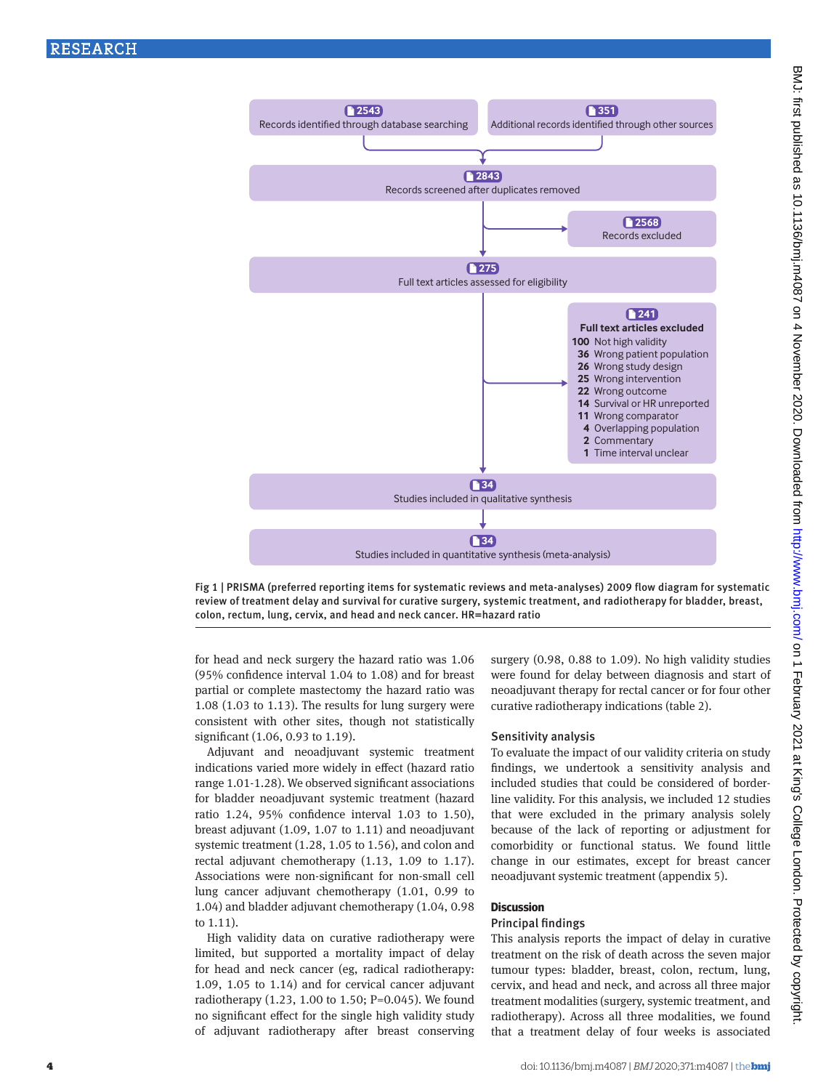

Fig 1 | PRISMA (preferred reporting items for systematic reviews and meta-analyses) 2009 flow diagram for systematic review of treatment delay and survival for curative surgery, systemic treatment, and radiotherapy for bladder, breast, colon, rectum, lung, cervix, and head and neck cancer. HR=hazard ratio

for head and neck surgery the hazard ratio was 1.06 (95% confidence interval 1.04 to 1.08) and for breast partial or complete mastectomy the hazard ratio was 1.08 (1.03 to 1.13). The results for lung surgery were consistent with other sites, though not statistically significant (1.06, 0.93 to 1.19).

Adjuvant and neoadjuvant systemic treatment indications varied more widely in effect (hazard ratio range 1.01-1.28). We observed significant associations for bladder neoadjuvant systemic treatment (hazard ratio 1.24, 95% confidence interval 1.03 to 1.50), breast adjuvant (1.09, 1.07 to 1.11) and neoadjuvant systemic treatment (1.28, 1.05 to 1.56), and colon and rectal adjuvant chemotherapy (1.13, 1.09 to 1.17). Associations were non-significant for non-small cell lung cancer adjuvant chemotherapy (1.01, 0.99 to 1.04) and bladder adjuvant chemotherapy (1.04, 0.98 to 1.11).

High validity data on curative radiotherapy were limited, but supported a mortality impact of delay for head and neck cancer (eg, radical radiotherapy: 1.09, 1.05 to 1.14) and for cervical cancer adjuvant radiotherapy (1.23, 1.00 to 1.50; P=0.045). We found no significant effect for the single high validity study of adjuvant radiotherapy after breast conserving

surgery (0.98, 0.88 to 1.09). No high validity studies were found for delay between diagnosis and start of neoadjuvant therapy for rectal cancer or for four other curative radiotherapy indications (table 2).

#### Sensitivity analysis

To evaluate the impact of our validity criteria on study findings, we undertook a sensitivity analysis and included studies that could be considered of borderline validity. For this analysis, we included 12 studies that were excluded in the primary analysis solely because of the lack of reporting or adjustment for comorbidity or functional status. We found little change in our estimates, except for breast cancer neoadjuvant systemic treatment (appendix 5).

#### **Discussion**

#### Principal findings

This analysis reports the impact of delay in curative treatment on the risk of death across the seven major tumour types: bladder, breast, colon, rectum, lung, cervix, and head and neck, and across all three major treatment modalities (surgery, systemic treatment, and radiotherapy). Across all three modalities, we found that a treatment delay of four weeks is associated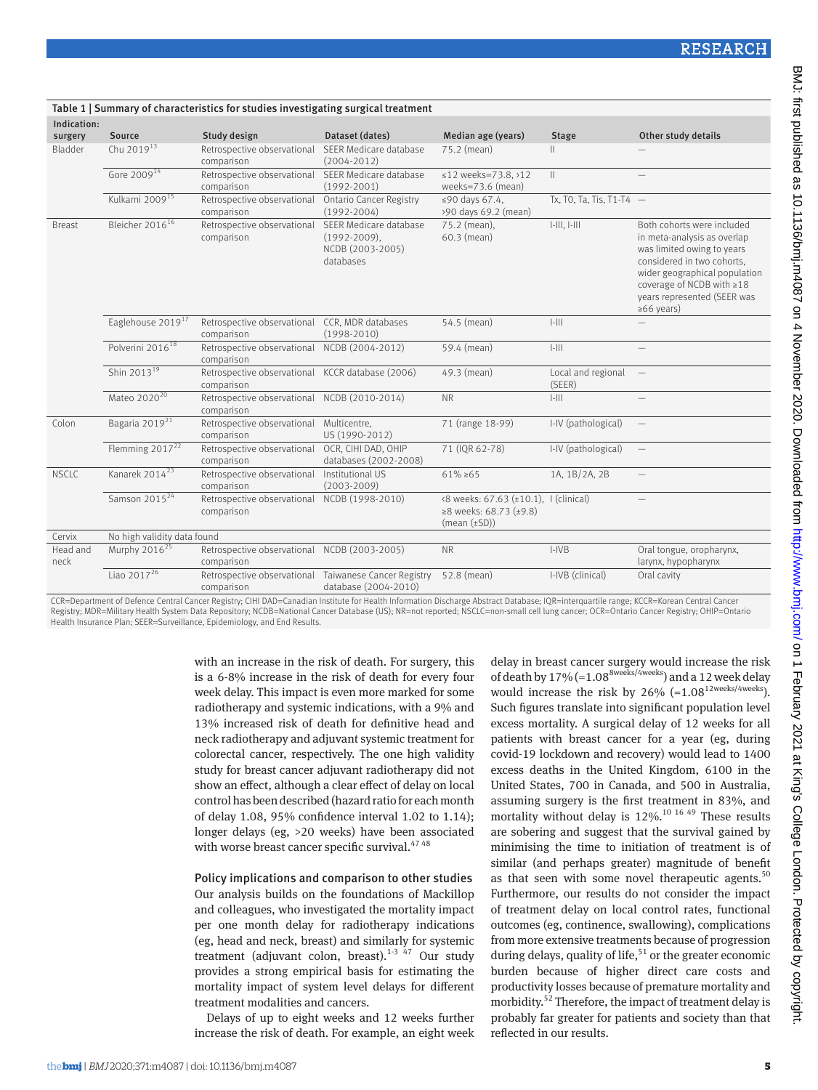|                        |                               | Table 1   Summary of characteristics for studies investigating surgical treatment |                                                                            |                                                                                      |                              |                                                                                                                                                                                                                                        |  |  |
|------------------------|-------------------------------|-----------------------------------------------------------------------------------|----------------------------------------------------------------------------|--------------------------------------------------------------------------------------|------------------------------|----------------------------------------------------------------------------------------------------------------------------------------------------------------------------------------------------------------------------------------|--|--|
| Indication:<br>surgery | Source                        | Study design                                                                      | Dataset (dates)                                                            | Median age (years)                                                                   | <b>Stage</b>                 | Other study details                                                                                                                                                                                                                    |  |  |
| Bladder                | Chu 2019 <sup>13</sup>        | Retrospective observational<br>comparison                                         | SEER Medicare database<br>$(2004 - 2012)$                                  | 75.2 (mean)                                                                          | Ш.                           |                                                                                                                                                                                                                                        |  |  |
|                        | Gore 2009 <sup>14</sup>       | Retrospective observational SEER Medicare database<br>comparison                  | $(1992 - 2001)$                                                            | ≤12 weeks=73.8, >12<br>weeks=73.6 (mean)                                             | $\mathbb{H}$                 |                                                                                                                                                                                                                                        |  |  |
|                        | Kulkarni 2009 <sup>15</sup>   | Retrospective observational<br>comparison                                         | <b>Ontario Cancer Registry</b><br>$(1992 - 2004)$                          | ≤90 days 67.4.<br>>90 days 69.2 (mean)                                               | Tx, T0, Ta, Tis, T1-T4 $-$   |                                                                                                                                                                                                                                        |  |  |
| <b>Breast</b>          | Bleicher 2016 <sup>16</sup>   | Retrospective observational<br>comparison                                         | SEER Medicare database<br>$(1992-2009)$ ,<br>NCDB (2003-2005)<br>databases | 75.2 (mean),<br>60.3 (mean)                                                          | $[-111, 1-111]$              | Both cohorts were included<br>in meta-analysis as overlap<br>was limited owing to years<br>considered in two cohorts.<br>wider geographical population<br>coverage of NCDB with ≥18<br>years represented (SEER was<br>$\geq 66$ years) |  |  |
|                        | Eaglehouse 2019 <sup>17</sup> | Retrospective observational CCR, MDR databases<br>comparison                      | $(1998-2010)$                                                              | 54.5 (mean)                                                                          | $ - $                        |                                                                                                                                                                                                                                        |  |  |
|                        | Polverini 2016 <sup>18</sup>  | Retrospective observational NCDB (2004-2012)<br>comparison                        |                                                                            | 59.4 (mean)                                                                          | $ - $                        |                                                                                                                                                                                                                                        |  |  |
|                        | Shin 2013 <sup>19</sup>       | Retrospective observational KCCR database (2006)<br>comparison                    |                                                                            | 49.3 (mean)                                                                          | Local and regional<br>(SEER) | $\overline{\phantom{a}}$                                                                                                                                                                                                               |  |  |
|                        | Mateo 2020 <sup>20</sup>      | Retrospective observational NCDB (2010-2014)<br>comparison                        |                                                                            | <b>NR</b>                                                                            | $ - $                        |                                                                                                                                                                                                                                        |  |  |
| Colon                  | Bagaria 2019 <sup>21</sup>    | Retrospective observational Multicentre,<br>comparison                            | US (1990-2012)                                                             | 71 (range 18-99)                                                                     | I-IV (pathological)          |                                                                                                                                                                                                                                        |  |  |
|                        | Flemming 2017 <sup>22</sup>   | Retrospective observational OCR, CIHI DAD, OHIP<br>comparison                     | databases (2002-2008)                                                      | 71 (IQR 62-78)                                                                       | I-IV (pathological)          | $\overline{\phantom{m}}$                                                                                                                                                                                                               |  |  |
| <b>NSCLC</b>           | Kanarek 2014 <sup>23</sup>    | Retrospective observational<br>comparison                                         | Institutional US<br>$(2003 - 2009)$                                        | $61\% \ge 65$                                                                        | 1A, 1B/2A, 2B                | $\overline{\phantom{0}}$                                                                                                                                                                                                               |  |  |
|                        | Samson 2015 <sup>24</sup>     | Retrospective observational<br>comparison                                         | NCDB (1998-2010)                                                           | <8 weeks: 67.63 (±10.1), 1 (clinical)<br>≥8 weeks: 68.73 (±9.8)<br>$(mean (\pm SD))$ |                              | $\overline{\phantom{0}}$                                                                                                                                                                                                               |  |  |
| Cervix                 | No high validity data found   |                                                                                   |                                                                            |                                                                                      |                              |                                                                                                                                                                                                                                        |  |  |
| Head and<br>neck       | Murphy 2016 <sup>25</sup>     | Retrospective observational NCDB (2003-2005)<br>comparison                        |                                                                            | <b>NR</b>                                                                            | $I-IVB$                      | Oral tongue, oropharynx,<br>larynx, hypopharynx                                                                                                                                                                                        |  |  |
|                        | Liao $2017^{26}$              | Retrospective observational Taiwanese Cancer Registry<br>comparison               | database (2004-2010)                                                       | 52.8 (mean)                                                                          | I-IVB (clinical)             | Oral cavity                                                                                                                                                                                                                            |  |  |

CCR=Department of Defence Central Cancer Registry; CIHI DAD=Canadian Institute for Health Information Discharge Abstract Database; IQR=interquartile range; KCCR=Korean Central Cancer Registry; MDR=Military Health System Data Repository; NCDB=National Cancer Database (US); NR=not reported; NSCLC=non-small cell lung cancer; OCR=Ontario Cancer Registry; OHIP=Ontario Health Insurance Plan; SEER=Surveillance, Epidemiology, and End Results.

> with an increase in the risk of death. For surgery, this is a 6-8% increase in the risk of death for every four week delay. This impact is even more marked for some radiotherapy and systemic indications, with a 9% and 13% increased risk of death for definitive head and neck radiotherapy and adjuvant systemic treatment for colorectal cancer, respectively. The one high validity study for breast cancer adjuvant radiotherapy did not show an effect, although a clear effect of delay on local control has been described (hazard ratio for each month of delay 1.08, 95% confidence interval 1.02 to 1.14); longer delays (eg, >20 weeks) have been associated with worse breast cancer specific survival.<sup>47 48</sup>

# Policy implications and comparison to other studies Our analysis builds on the foundations of Mackillop and colleagues, who investigated the mortality impact per one month delay for radiotherapy indications (eg, head and neck, breast) and similarly for systemic treatment (adjuvant colon, breast). $1-3$  47 Our study provides a strong empirical basis for estimating the mortality impact of system level delays for different treatment modalities and cancers.

Delays of up to eight weeks and 12 weeks further increase the risk of death. For example, an eight week delay in breast cancer surgery would increase the risk of death by  $17\%$  (=1.08<sup>8weeks/4weeks</sup>) and a 12 week delay would increase the risk by  $26\%$  (=1.08<sup>12weeks/4weeks</sup>). Such figures translate into significant population level excess mortality. A surgical delay of 12 weeks for all patients with breast cancer for a year (eg, during covid-19 lockdown and recovery) would lead to 1400 excess deaths in the United Kingdom, 6100 in the United States, 700 in Canada, and 500 in Australia, assuming surgery is the first treatment in 83%, and mortality without delay is  $12\%$ <sup>10 16 49</sup> These results are sobering and suggest that the survival gained by minimising the time to initiation of treatment is of similar (and perhaps greater) magnitude of benefit as that seen with some novel therapeutic agents. $50$ Furthermore, our results do not consider the impact of treatment delay on local control rates, functional outcomes (eg, continence, swallowing), complications from more extensive treatments because of progression during delays, quality of life,<sup>51</sup> or the greater economic burden because of higher direct care costs and productivity losses because of premature mortality and morbidity.<sup>52</sup> Therefore, the impact of treatment delay is probably far greater for patients and society than that reflected in our results.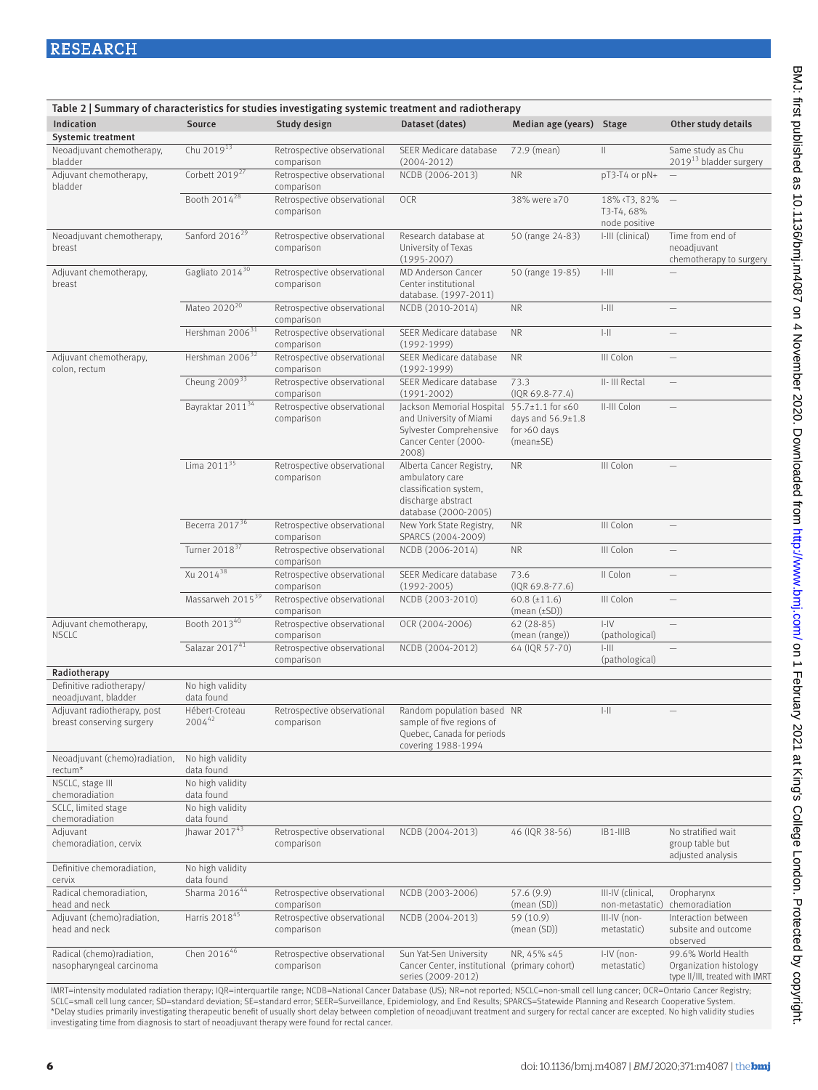|                                                          | Table 2   Summary of characteristics for studies investigating systemic treatment and radiotherapy |                                           |                                                                                                                                   |                                                              |                                                                                                                                                                                                                                                                                                                                                                                                                              |                                                                                |  |  |  |
|----------------------------------------------------------|----------------------------------------------------------------------------------------------------|-------------------------------------------|-----------------------------------------------------------------------------------------------------------------------------------|--------------------------------------------------------------|------------------------------------------------------------------------------------------------------------------------------------------------------------------------------------------------------------------------------------------------------------------------------------------------------------------------------------------------------------------------------------------------------------------------------|--------------------------------------------------------------------------------|--|--|--|
| Indication                                               | Source                                                                                             | Study design                              | Dataset (dates)                                                                                                                   | Median age (years) Stage                                     |                                                                                                                                                                                                                                                                                                                                                                                                                              | Other study details                                                            |  |  |  |
| <b>Systemic treatment</b>                                |                                                                                                    |                                           |                                                                                                                                   |                                                              |                                                                                                                                                                                                                                                                                                                                                                                                                              |                                                                                |  |  |  |
| Neoadjuvant chemotherapy,<br>bladder                     | Chu 2019 <sup>13</sup>                                                                             | Retrospective observational<br>comparison | SEER Medicare database<br>$(2004 - 2012)$                                                                                         | 72.9 (mean)                                                  | $\label{eq:1} \prod_{i=1}^n \alpha_i \, \prod_{i=1}^n \alpha_i \, \prod_{i=1}^n \alpha_i \, \prod_{i=1}^n \alpha_i \, \prod_{i=1}^n \alpha_i \, \prod_{i=1}^n \alpha_i \, \prod_{i=1}^n \alpha_i \, \prod_{i=1}^n \alpha_i \, \prod_{i=1}^n \alpha_i \, \prod_{i=1}^n \alpha_i \, \prod_{i=1}^n \alpha_i \, \prod_{i=1}^n \alpha_i \, \prod_{i=1}^n \alpha_i \, \prod_{i=1}^n \alpha_i \, \prod_{i=1}^n \alpha_i \, \prod_{$ | Same study as Chu<br>2019 <sup>13</sup> bladder surgery                        |  |  |  |
| Adjuvant chemotherapy,<br>bladder                        | Corbett 2019 <sup>27</sup>                                                                         | Retrospective observational<br>comparison | NCDB (2006-2013)                                                                                                                  | <b>NR</b>                                                    | pT3-T4 or pN+                                                                                                                                                                                                                                                                                                                                                                                                                |                                                                                |  |  |  |
|                                                          | Booth 2014 <sup>28</sup>                                                                           | Retrospective observational<br>comparison | OCR                                                                                                                               | 38% were ≥70                                                 | 18% <t3, 82%<br="">T3-T4, 68%<br/>node positive</t3,>                                                                                                                                                                                                                                                                                                                                                                        | $\hspace{0.1mm}-\hspace{0.1mm}$                                                |  |  |  |
| Neoadjuvant chemotherapy,<br>breast                      | Sanford 2016 <sup>29</sup>                                                                         | Retrospective observational<br>comparison | Research database at<br>University of Texas<br>$(1995 - 2007)$                                                                    | 50 (range 24-83)                                             | I-III (clinical)                                                                                                                                                                                                                                                                                                                                                                                                             | Time from end of<br>neoadjuvant<br>chemotherapy to surgery                     |  |  |  |
| Adjuvant chemotherapy,<br>breast                         | Gagliato 2014 <sup>30</sup>                                                                        | Retrospective observational<br>comparison | MD Anderson Cancer<br>Center institutional<br>database. (1997-2011)                                                               | 50 (range 19-85)                                             | $\left\vert -\right\vert \left\vert \right\vert \right\vert$                                                                                                                                                                                                                                                                                                                                                                 |                                                                                |  |  |  |
|                                                          | Mateo 2020 <sup>20</sup>                                                                           | Retrospective observational<br>comparison | NCDB (2010-2014)                                                                                                                  | <b>NR</b>                                                    | $\left\vert -\right\vert \left\vert \right\vert \right\vert$                                                                                                                                                                                                                                                                                                                                                                 | $\overline{\phantom{0}}$                                                       |  |  |  |
|                                                          | Hershman 2006 <sup>31</sup>                                                                        | Retrospective observational<br>comparison | SEER Medicare database<br>$(1992 - 1999)$                                                                                         | <b>NR</b>                                                    | $\left\vert -\right\vert \left\vert \right\vert$                                                                                                                                                                                                                                                                                                                                                                             | $\overline{\phantom{0}}$                                                       |  |  |  |
| Adjuvant chemotherapy,<br>colon, rectum                  | Hershman 2006 <sup>32</sup>                                                                        | Retrospective observational<br>comparison | SEER Medicare database<br>$(1992-1999)$                                                                                           | <b>NR</b>                                                    | III Colon                                                                                                                                                                                                                                                                                                                                                                                                                    | $\overline{\phantom{0}}$                                                       |  |  |  |
|                                                          | Cheung $2009^{33}$                                                                                 | Retrospective observational<br>comparison | SEER Medicare database<br>$(1991 - 2002)$                                                                                         | 73.3<br>$(IQR 69.8-77.4)$                                    | II- III Rectal                                                                                                                                                                                                                                                                                                                                                                                                               | $\overline{\phantom{0}}$                                                       |  |  |  |
|                                                          | Bayraktar 2011 <sup>34</sup>                                                                       | Retrospective observational<br>comparison | Jackson Memorial Hospital 55.7±1.1 for ≤60<br>and University of Miami<br>Sylvester Comprehensive<br>Cancer Center (2000-<br>2008) | days and $56.9 \pm 1.8$<br>for $>60$ days<br>$(mean \pm SE)$ | II-III Colon                                                                                                                                                                                                                                                                                                                                                                                                                 | $\overline{\phantom{0}}$                                                       |  |  |  |
|                                                          | Lima 2011 <sup>35</sup>                                                                            | Retrospective observational<br>comparison | Alberta Cancer Registry,<br>ambulatory care<br>classification system,<br>discharge abstract<br>database (2000-2005)               | <b>NR</b>                                                    | III Colon                                                                                                                                                                                                                                                                                                                                                                                                                    |                                                                                |  |  |  |
|                                                          | Becerra 2017 <sup>36</sup>                                                                         | Retrospective observational<br>comparison | New York State Registry,<br>SPARCS (2004-2009)                                                                                    | <b>NR</b>                                                    | III Colon                                                                                                                                                                                                                                                                                                                                                                                                                    | $\overline{\phantom{0}}$                                                       |  |  |  |
|                                                          | Turner 2018 <sup>37</sup>                                                                          | Retrospective observational<br>comparison | NCDB (2006-2014)                                                                                                                  | <b>NR</b>                                                    | III Colon                                                                                                                                                                                                                                                                                                                                                                                                                    | $\qquad \qquad -$                                                              |  |  |  |
|                                                          | Xu 2014 <sup>38</sup>                                                                              | Retrospective observational<br>comparison | SEER Medicare database<br>$(1992 - 2005)$                                                                                         | 73.6<br>$(IQR 69.8-77.6)$                                    | II Colon                                                                                                                                                                                                                                                                                                                                                                                                                     |                                                                                |  |  |  |
|                                                          | Massarweh 2015 <sup>39</sup>                                                                       | Retrospective observational<br>comparison | NCDB (2003-2010)                                                                                                                  | $60.8 \ (\pm 11.6)$<br>$(mean (\pm SD))$                     | III Colon                                                                                                                                                                                                                                                                                                                                                                                                                    |                                                                                |  |  |  |
| Adjuvant chemotherapy,<br><b>NSCLC</b>                   | Booth 201340                                                                                       | Retrospective observational<br>comparison | OCR (2004-2006)                                                                                                                   | $62(28-85)$<br>(mean (range))                                | $  -  $<br>(pathological)                                                                                                                                                                                                                                                                                                                                                                                                    |                                                                                |  |  |  |
|                                                          | Salazar 201741                                                                                     | Retrospective observational<br>comparison | NCDB (2004-2012)                                                                                                                  | 64 (IQR 57-70)                                               | $ -   $<br>(pathological)                                                                                                                                                                                                                                                                                                                                                                                                    |                                                                                |  |  |  |
| Radiotherapy                                             |                                                                                                    |                                           |                                                                                                                                   |                                                              |                                                                                                                                                                                                                                                                                                                                                                                                                              |                                                                                |  |  |  |
| Definitive radiotherapy/<br>neoadjuvant, bladder         | No high validity<br>data found                                                                     |                                           |                                                                                                                                   |                                                              |                                                                                                                                                                                                                                                                                                                                                                                                                              |                                                                                |  |  |  |
| Adjuvant radiotherapy, post<br>breast conserving surgery | Hébert-Croteau<br>200442                                                                           | Retrospective observational<br>comparison | Random population based NR<br>sample of five regions of<br>Quebec, Canada for periods<br>covering 1988-1994                       |                                                              | $\left\vert -\right\vert \left\vert \right\vert$                                                                                                                                                                                                                                                                                                                                                                             | $\qquad \qquad -$                                                              |  |  |  |
| Neoadjuvant (chemo)radiation,<br>rectum*                 | No high validity<br>data found                                                                     |                                           |                                                                                                                                   |                                                              |                                                                                                                                                                                                                                                                                                                                                                                                                              |                                                                                |  |  |  |
| NSCLC, stage III<br>chemoradiation                       | No high validity<br>data found                                                                     |                                           |                                                                                                                                   |                                                              |                                                                                                                                                                                                                                                                                                                                                                                                                              |                                                                                |  |  |  |
| SCLC, limited stage<br>chemoradiation                    | No high validity<br>data found                                                                     |                                           |                                                                                                                                   |                                                              |                                                                                                                                                                                                                                                                                                                                                                                                                              |                                                                                |  |  |  |
| Adjuvant<br>chemoradiation, cervix                       | Jhawar 2017 $43$                                                                                   | Retrospective observational<br>comparison | NCDB (2004-2013)                                                                                                                  | 46 (IQR 38-56)                                               | $IB1-IIIB$                                                                                                                                                                                                                                                                                                                                                                                                                   | No stratified wait<br>group table but<br>adjusted analysis                     |  |  |  |
| Definitive chemoradiation.<br>cervix                     | No high validity<br>data found                                                                     |                                           |                                                                                                                                   |                                                              |                                                                                                                                                                                                                                                                                                                                                                                                                              |                                                                                |  |  |  |
| Radical chemoradiation,<br>head and neck                 | Sharma 201644                                                                                      | Retrospective observational<br>comparison | NCDB (2003-2006)                                                                                                                  | 57.6 (9.9)<br>(mean (SD))                                    | III-IV (clinical,<br>non-metastatic)                                                                                                                                                                                                                                                                                                                                                                                         | Oropharynx<br>chemoradiation                                                   |  |  |  |
| Adjuvant (chemo)radiation,<br>head and neck              | Harris 2018 <sup>45</sup>                                                                          | Retrospective observational<br>comparison | NCDB (2004-2013)                                                                                                                  | 59 (10.9)<br>(mean (SD))                                     | III-IV (non-<br>metastatic)                                                                                                                                                                                                                                                                                                                                                                                                  | Interaction between<br>subsite and outcome<br>observed                         |  |  |  |
| Radical (chemo)radiation,<br>nasopharyngeal carcinoma    | Chen 201646                                                                                        | Retrospective observational<br>comparison | Sun Yat-Sen University<br>Cancer Center, institutional (primary cohort)<br>series (2009-2012)                                     | NR, 45% ≤45                                                  | I-IV (non-<br>metastatic)                                                                                                                                                                                                                                                                                                                                                                                                    | 99.6% World Health<br>Organization histology<br>type II/III, treated with IMRT |  |  |  |

IMRT=intensity modulated radiation therapy; IQR=interquartile range; NCDB=National Cancer Database (US); NR=not reported; NSCLC=non-small cell lung cancer; OCR=Ontario Cancer Registry; SCLC=small cell lung cancer; SD=standard deviation; SE=standard error; SEER=Surveillance, Epidemiology, and End Results; SPARCS=Statewide Planning and Research Cooperative System.<br>\*Delay studies primarily investigating the investigating time from diagnosis to start of neoadjuvant therapy were found for rectal cancer.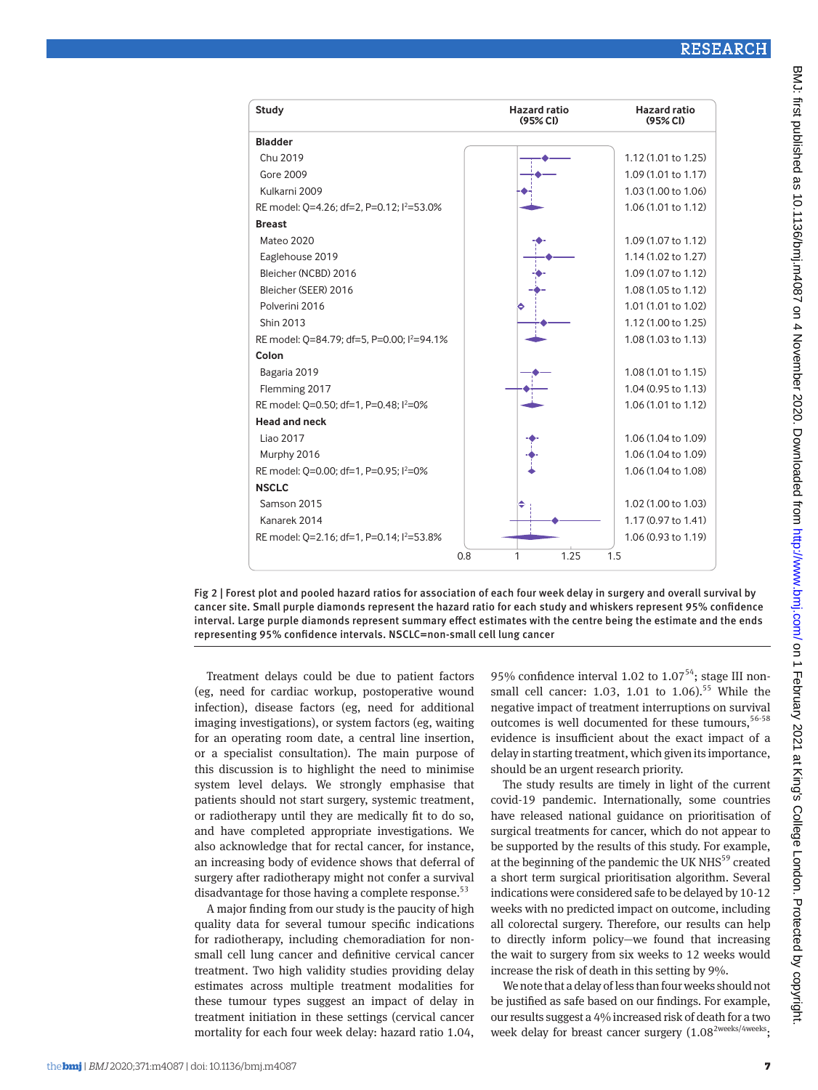| Study                                                  | <b>Hazard ratio</b><br>(95% Cl) | <b>Hazard ratio</b><br>(95% CI) |
|--------------------------------------------------------|---------------------------------|---------------------------------|
| <b>Bladder</b>                                         |                                 |                                 |
| Chu 2019                                               |                                 | 1.12 (1.01 to 1.25)             |
| <b>Gore 2009</b>                                       |                                 | 1.09 (1.01 to 1.17)             |
| Kulkarni 2009                                          |                                 | 1.03 (1.00 to 1.06)             |
| RE model: 0=4.26; df=2, P=0.12; l <sup>2</sup> =53.0%  |                                 | 1.06(1.01 to 1.12)              |
| <b>Breast</b>                                          |                                 |                                 |
| <b>Mateo 2020</b>                                      |                                 | 1.09 (1.07 to 1.12)             |
| Eaglehouse 2019                                        |                                 | 1.14 (1.02 to 1.27)             |
| Bleicher (NCBD) 2016                                   |                                 | 1.09 (1.07 to 1.12)             |
| Bleicher (SEER) 2016                                   |                                 | 1.08 (1.05 to 1.12)             |
| Polverini 2016                                         |                                 | 1.01 (1.01 to 1.02)             |
| Shin 2013                                              |                                 | 1.12 (1.00 to 1.25)             |
| RE model: 0=84.79; df=5, P=0.00; l <sup>2</sup> =94.1% |                                 | $1.08(1.03 \text{ to } 1.13)$   |
| Colon                                                  |                                 |                                 |
| Bagaria 2019                                           |                                 | $1.08(1.01 \text{ to } 1.15)$   |
| Flemming 2017                                          |                                 | 1.04 (0.95 to 1.13)             |
| RE model: 0=0.50; df=1, P=0.48; l <sup>2</sup> =0%     |                                 | 1.06 (1.01 to 1.12)             |
| <b>Head and neck</b>                                   |                                 |                                 |
| Liao 2017                                              |                                 | 1.06 (1.04 to 1.09)             |
| Murphy 2016                                            |                                 | 1.06 (1.04 to 1.09)             |
| RE model: 0=0.00; df=1, P=0.95; l <sup>2</sup> =0%     |                                 | 1.06 (1.04 to 1.08)             |
| <b>NSCLC</b>                                           |                                 |                                 |
| Samson 2015                                            |                                 | 1.02 (1.00 to 1.03)             |
| Kanarek 2014                                           |                                 | 1.17 (0.97 to 1.41)             |
| RE model: 0=2.16; df=1, P=0.14; $1^{2}$ =53.8%         |                                 | 1.06 (0.93 to 1.19)             |
|                                                        | 1.25<br>0.8<br>1                | 1.5                             |

Fig 2 | Forest plot and pooled hazard ratios for association of each four week delay in surgery and overall survival by cancer site. Small purple diamonds represent the hazard ratio for each study and whiskers represent 95% confidence interval. Large purple diamonds represent summary effect estimates with the centre being the estimate and the ends representing 95% confidence intervals. NSCLC=non-small cell lung cancer

Treatment delays could be due to patient factors (eg, need for cardiac workup, postoperative wound infection), disease factors (eg, need for additional imaging investigations), or system factors (eg, waiting for an operating room date, a central line insertion, or a specialist consultation). The main purpose of this discussion is to highlight the need to minimise system level delays. We strongly emphasise that patients should not start surgery, systemic treatment, or radiotherapy until they are medically fit to do so, and have completed appropriate investigations. We also acknowledge that for rectal cancer, for instance, an increasing body of evidence shows that deferral of surgery after radiotherapy might not confer a survival disadvantage for those having a complete response. $53$ 

A major finding from our study is the paucity of high quality data for several tumour specific indications for radiotherapy, including chemoradiation for nonsmall cell lung cancer and definitive cervical cancer treatment. Two high validity studies providing delay estimates across multiple treatment modalities for these tumour types suggest an impact of delay in treatment initiation in these settings (cervical cancer mortality for each four week delay: hazard ratio 1.04, 95% confidence interval 1.02 to  $1.07<sup>54</sup>$ ; stage III nonsmall cell cancer: 1.03, 1.01 to 1.06).<sup>55</sup> While the negative impact of treatment interruptions on survival outcomes is well documented for these tumours, 56-58 evidence is insufficient about the exact impact of a delay in starting treatment, which given its importance, should be an urgent research priority.

The study results are timely in light of the current covid-19 pandemic. Internationally, some countries have released national guidance on prioritisation of surgical treatments for cancer, which do not appear to be supported by the results of this study. For example, at the beginning of the pandemic the UK NHS<sup>59</sup> created a short term surgical prioritisation algorithm. Several indications were considered safe to be delayed by 10-12 weeks with no predicted impact on outcome, including all colorectal surgery. Therefore, our results can help to directly inform policy—we found that increasing the wait to surgery from six weeks to 12 weeks would increase the risk of death in this setting by 9%.

We note that a delay of less than four weeks should not be justified as safe based on our findings. For example, our results suggest a 4% increased risk of death for a two week delay for breast cancer surgery (1.08<sup>2weeks/4weeks</sup>;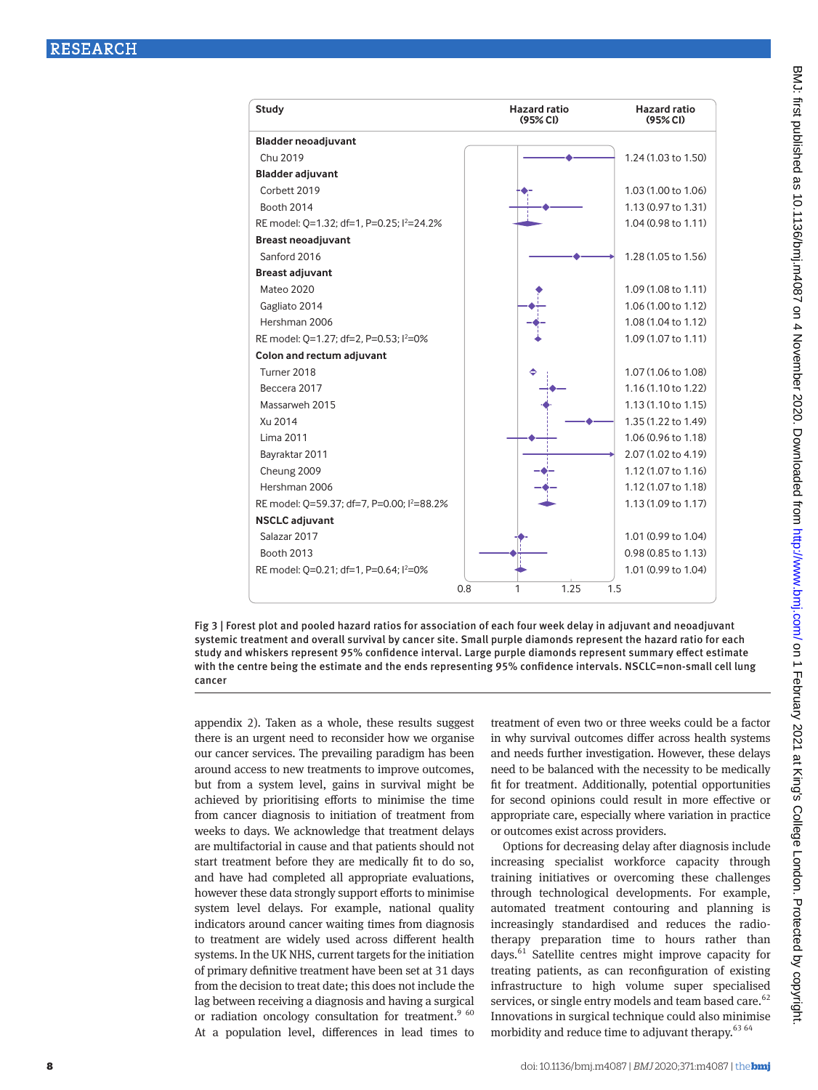

Fig 3 | Forest plot and pooled hazard ratios for association of each four week delay in adjuvant and neoadjuvant systemic treatment and overall survival by cancer site. Small purple diamonds represent the hazard ratio for each study and whiskers represent 95% confidence interval. Large purple diamonds represent summary effect estimate with the centre being the estimate and the ends representing 95% confidence intervals. NSCLC=non-small cell lung cancer

appendix 2). Taken as a whole, these results suggest there is an urgent need to reconsider how we organise our cancer services. The prevailing paradigm has been around access to new treatments to improve outcomes, but from a system level, gains in survival might be achieved by prioritising efforts to minimise the time from cancer diagnosis to initiation of treatment from weeks to days. We acknowledge that treatment delays are multifactorial in cause and that patients should not start treatment before they are medically fit to do so, and have had completed all appropriate evaluations, however these data strongly support efforts to minimise system level delays. For example, national quality indicators around cancer waiting times from diagnosis to treatment are widely used across different health systems. In the UK NHS, current targets for the initiation of primary definitive treatment have been set at 31 days from the decision to treat date; this does not include the lag between receiving a diagnosis and having a surgical or radiation oncology consultation for treatment. $9\,60$ At a population level, differences in lead times to treatment of even two or three weeks could be a factor in why survival outcomes differ across health systems and needs further investigation. However, these delays need to be balanced with the necessity to be medically fit for treatment. Additionally, potential opportunities for second opinions could result in more effective or appropriate care, especially where variation in practice or outcomes exist across providers.

Options for decreasing delay after diagnosis include increasing specialist workforce capacity through training initiatives or overcoming these challenges through technological developments. For example, automated treatment contouring and planning is increasingly standardised and reduces the radiotherapy preparation time to hours rather than days.61 Satellite centres might improve capacity for treating patients, as can reconfiguration of existing infrastructure to high volume super specialised services, or single entry models and team based care.<sup>62</sup> Innovations in surgical technique could also minimise morbidity and reduce time to adjuvant therapy.<sup>63 64</sup>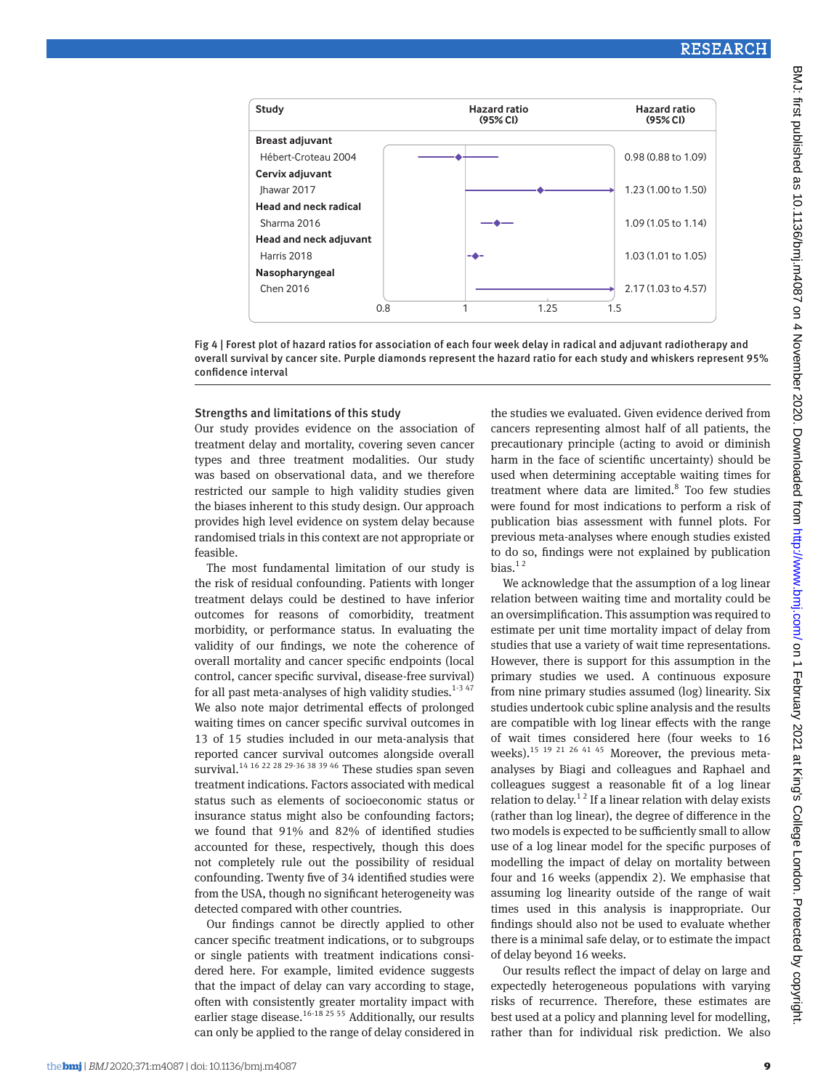

Fig 4 | Forest plot of hazard ratios for association of each four week delay in radical and adjuvant radiotherapy and overall survival by cancer site. Purple diamonds represent the hazard ratio for each study and whiskers represent 95% confidence interval

#### Strengths and limitations of this study

Our study provides evidence on the association of treatment delay and mortality, covering seven cancer types and three treatment modalities. Our study was based on observational data, and we therefore restricted our sample to high validity studies given the biases inherent to this study design. Our approach provides high level evidence on system delay because randomised trials in this context are not appropriate or feasible.

The most fundamental limitation of our study is the risk of residual confounding. Patients with longer treatment delays could be destined to have inferior outcomes for reasons of comorbidity, treatment morbidity, or performance status. In evaluating the validity of our findings, we note the coherence of overall mortality and cancer specific endpoints (local control, cancer specific survival, disease-free survival) for all past meta-analyses of high validity studies.<sup>1-3 47</sup> We also note major detrimental effects of prolonged waiting times on cancer specific survival outcomes in 13 of 15 studies included in our meta-analysis that reported cancer survival outcomes alongside overall survival.<sup>14 16 22 28 29-36 38 39 46</sup> These studies span seven treatment indications. Factors associated with medical status such as elements of socioeconomic status or insurance status might also be confounding factors; we found that 91% and 82% of identified studies accounted for these, respectively, though this does not completely rule out the possibility of residual confounding. Twenty five of 34 identified studies were from the USA, though no significant heterogeneity was detected compared with other countries.

Our findings cannot be directly applied to other cancer specific treatment indications, or to subgroups or single patients with treatment indications considered here. For example, limited evidence suggests that the impact of delay can vary according to stage, often with consistently greater mortality impact with earlier stage disease.<sup>16-18 25 55</sup> Additionally, our results can only be applied to the range of delay considered in the studies we evaluated. Given evidence derived from cancers representing almost half of all patients, the precautionary principle (acting to avoid or diminish harm in the face of scientific uncertainty) should be used when determining acceptable waiting times for treatment where data are limited.<sup>8</sup> Too few studies were found for most indications to perform a risk of publication bias assessment with funnel plots. For previous meta-analyses where enough studies existed to do so, findings were not explained by publication bias. $12$ 

We acknowledge that the assumption of a log linear relation between waiting time and mortality could be an oversimplification. This assumption was required to estimate per unit time mortality impact of delay from studies that use a variety of wait time representations. However, there is support for this assumption in the primary studies we used. A continuous exposure from nine primary studies assumed (log) linearity. Six studies undertook cubic spline analysis and the results are compatible with log linear effects with the range of wait times considered here (four weeks to 16 weeks).<sup>15 19 21 26 41 45</sup> Moreover, the previous metaanalyses by Biagi and colleagues and Raphael and colleagues suggest a reasonable fit of a log linear relation to delay.<sup>12</sup> If a linear relation with delay exists (rather than log linear), the degree of difference in the two models is expected to be sufficiently small to allow use of a log linear model for the specific purposes of modelling the impact of delay on mortality between four and 16 weeks (appendix 2). We emphasise that assuming log linearity outside of the range of wait times used in this analysis is inappropriate. Our findings should also not be used to evaluate whether there is a minimal safe delay, or to estimate the impact of delay beyond 16 weeks.

Our results reflect the impact of delay on large and expectedly heterogeneous populations with varying risks of recurrence. Therefore, these estimates are best used at a policy and planning level for modelling, rather than for individual risk prediction. We also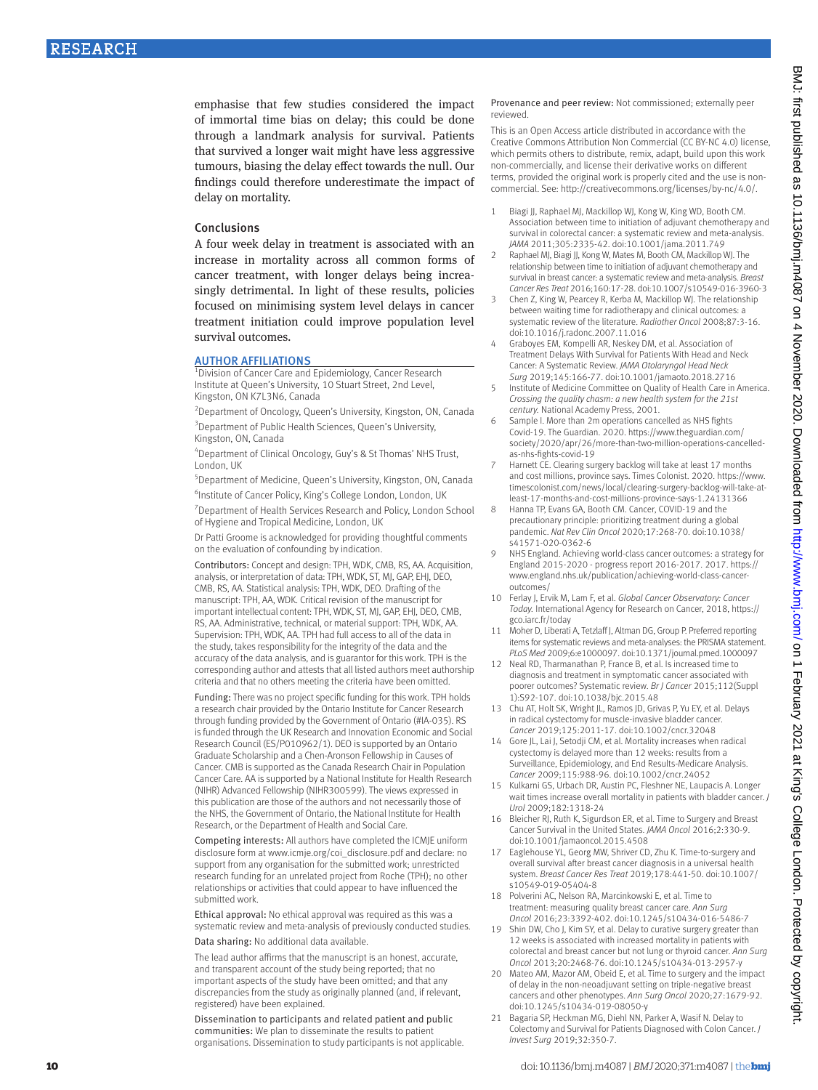emphasise that few studies considered the impact of immortal time bias on delay; this could be done through a landmark analysis for survival. Patients that survived a longer wait might have less aggressive tumours, biasing the delay effect towards the null. Our findings could therefore underestimate the impact of delay on mortality.

#### Conclusions

A four week delay in treatment is associated with an increase in mortality across all common forms of cancer treatment, with longer delays being increasingly detrimental. In light of these results, policies focused on minimising system level delays in cancer treatment initiation could improve population level survival outcomes.

#### **AUTHOR AFFILIATIONS**

<sup>1</sup>Division of Cancer Care and Epidemiology, Cancer Research Institute at Queen's University, 10 Stuart Street, 2nd Level, Kingston, ON K7L3N6, Canada

<sup>2</sup> Department of Oncology, Queen's University, Kingston, ON, Canada <sup>3</sup> Department of Public Health Sciences, Queen's University, Kingston, ON, Canada

4 Department of Clinical Oncology, Guy's & St Thomas' NHS Trust, London, UK

5 Department of Medicine, Queen's University, Kingston, ON, Canada <sup>6</sup>Institute of Cancer Policy, King's College London, London, UK

<sup>7</sup> Department of Health Services Research and Policy, London School of Hygiene and Tropical Medicine, London, UK

Dr Patti Groome is acknowledged for providing thoughtful comments on the evaluation of confounding by indication.

Contributors: Concept and design: TPH, WDK, CMB, RS, AA. Acquisition, analysis, or interpretation of data: TPH, WDK, ST, MJ, GAP, EHJ, DEO, CMB, RS, AA. Statistical analysis: TPH, WDK, DEO. Drafting of the manuscript: TPH, AA, WDK. Critical revision of the manuscript for important intellectual content: TPH, WDK, ST, MJ, GAP, EHJ, DEO, CMB, RS, AA. Administrative, technical, or material support: TPH, WDK, AA. Supervision: TPH, WDK, AA. TPH had full access to all of the data in the study, takes responsibility for the integrity of the data and the accuracy of the data analysis, and is guarantor for this work. TPH is the corresponding author and attests that all listed authors meet authorship criteria and that no others meeting the criteria have been omitted.

Funding: There was no project specific funding for this work. TPH holds a research chair provided by the Ontario Institute for Cancer Research through funding provided by the Government of Ontario (#IA-035). RS is funded through the UK Research and Innovation Economic and Social Research Council (ES/P010962/1). DEO is supported by an Ontario Graduate Scholarship and a Chen-Aronson Fellowship in Causes of Cancer. CMB is supported as the Canada Research Chair in Population Cancer Care. AA is supported by a National Institute for Health Research (NIHR) Advanced Fellowship (NIHR300599). The views expressed in this publication are those of the authors and not necessarily those of the NHS, the Government of Ontario, the National Institute for Health Research, or the Department of Health and Social Care.

Competing interests: All authors have completed the ICMJE uniform disclosure form at [www.icmje.org/coi\\_disclosure.pdf](http://www.icmje.org/coi_disclosure.pdf) and declare: no support from any organisation for the submitted work; unrestricted research funding for an unrelated project from Roche (TPH); no other relationships or activities that could appear to have influenced the submitted work.

Ethical approval: No ethical approval was required as this was a systematic review and meta-analysis of previously conducted studies.

Data sharing: No additional data available.

The lead author affirms that the manuscript is an honest, accurate, and transparent account of the study being reported; that no important aspects of the study have been omitted; and that any discrepancies from the study as originally planned (and, if relevant, registered) have been explained.

Dissemination to participants and related patient and public communities: We plan to disseminate the results to patient organisations. Dissemination to study participants is not applicable. Provenance and peer review: Not commissioned; externally peer reviewed.

This is an Open Access article distributed in accordance with the Creative Commons Attribution Non Commercial (CC BY-NC 4.0) license, which permits others to distribute, remix, adapt, build upon this work non-commercially, and license their derivative works on different terms, provided the original work is properly cited and the use is noncommercial. See:<http://creativecommons.org/licenses/by-nc/4.0/>.

- 1 Biagi JJ, Raphael MJ, Mackillop WJ, Kong W, King WD, Booth CM. Association between time to initiation of adjuvant chemotherapy and survival in colorectal cancer: a systematic review and meta-analysis. *JAMA* 2011;305:2335-42. doi:10.1001/jama.2011.749
- 2 Raphael MJ, Biagi JJ, Kong W, Mates M, Booth CM, Mackillop WJ. The relationship between time to initiation of adjuvant chemotherapy and survival in breast cancer: a systematic review and meta-analysis. *Breast Cancer Res Treat* 2016;160:17-28. doi:10.1007/s10549-016-3960-3
- 3 Chen Z, King W, Pearcey R, Kerba M, Mackillop WJ. The relationship between waiting time for radiotherapy and clinical outcomes: a systematic review of the literature. *Radiother Oncol* 2008;87:3-16. doi:10.1016/j.radonc.2007.11.016
- 4 Graboyes EM, Kompelli AR, Neskey DM, et al. Association of Treatment Delays With Survival for Patients With Head and Neck Cancer: A Systematic Review. *JAMA Otolaryngol Head Neck Surg* 2019;145:166-77. doi:10.1001/jamaoto.2018.2716
- 5 Institute of Medicine Committee on Quality of Health Care in America. *Crossing the quality chasm: a new health system for the 21st century.* National Academy Press, 2001.
- 6 Sample I. More than 2m operations cancelled as NHS fights Covid-19. The Guardian. 2020. [https://www.theguardian.com/](https://www.theguardian.com/society/2020/apr/26/more-than-two-million-operations-cancelled-as-nhs-fights-covid-19) [society/2020/apr/26/more-than-two-million-operations-cancelled](https://www.theguardian.com/society/2020/apr/26/more-than-two-million-operations-cancelled-as-nhs-fights-covid-19)[as-nhs-fights-covid-19](https://www.theguardian.com/society/2020/apr/26/more-than-two-million-operations-cancelled-as-nhs-fights-covid-19)
- Harnett CE. Clearing surgery backlog will take at least 17 months and cost millions, province says. Times Colonist. 2020. [https://www.](https://www.timescolonist.com/news/local/clearing-surgery-backlog-will-take-at-least-17-months-and-cost-millions-province-says-1.24131366) [timescolonist.com/news/local/clearing-surgery-backlog-will-take-at](https://www.timescolonist.com/news/local/clearing-surgery-backlog-will-take-at-least-17-months-and-cost-millions-province-says-1.24131366)[least-17-months-and-cost-millions-province-says-1.24131366](https://www.timescolonist.com/news/local/clearing-surgery-backlog-will-take-at-least-17-months-and-cost-millions-province-says-1.24131366)
- 8 Hanna TP, Evans GA, Booth CM. Cancer, COVID-19 and the precautionary principle: prioritizing treatment during a global pandemic. *Nat Rev Clin Oncol* 2020;17:268-70. doi:10.1038/ s41571-020-0362-6
- 9 NHS England. Achieving world-class cancer outcomes: a strategy for England 2015-2020 - progress report 2016-2017. 2017. [https://](https://www.england.nhs.uk/publication/achieving-world-class-cancer-outcomes/) [www.england.nhs.uk/publication/achieving-world-class-cancer](https://www.england.nhs.uk/publication/achieving-world-class-cancer-outcomes/)[outcomes/](https://www.england.nhs.uk/publication/achieving-world-class-cancer-outcomes/)
- 10 Ferlay J, Ervik M, Lam F, et al. *Global Cancer Observatory: Cancer Today.* International Agency for Research on Cancer, 2018, [https://](https://gco.iarc.fr/today) [gco.iarc.fr/today](https://gco.iarc.fr/today)
- 11 Moher D, Liberati A, Tetzlaff J, Altman DG, Group P. Preferred reporting items for systematic reviews and meta-analyses: the PRISMA statement. *PLoS Med* 2009;6:e1000097. doi:10.1371/journal.pmed.1000097
- 12 Neal RD, Tharmanathan P, France B, et al. Is increased time to diagnosis and treatment in symptomatic cancer associated with poorer outcomes? Systematic review. *Br J Cancer* 2015;112(Suppl 1):S92-107. doi:10.1038/bjc.2015.48
- 13 Chu AT, Holt SK, Wright JL, Ramos JD, Grivas P, Yu EY, et al. Delays in radical cystectomy for muscle-invasive bladder cancer. *Cancer* 2019;125:2011-17. doi:10.1002/cncr.32048
- 14 Gore IL, Lai I, Setodii CM, et al. Mortality increases when radical cystectomy is delayed more than 12 weeks: results from a Surveillance, Epidemiology, and End Results-Medicare Analysis. *Cancer* 2009;115:988-96. doi:10.1002/cncr.24052
- 15 Kulkarni GS, Urbach DR, Austin PC, Fleshner NE, Laupacis A. Longer wait times increase overall mortality in patients with bladder cancer. *J Urol* 2009;182:1318-24
- 16 Bleicher RJ, Ruth K, Sigurdson ER, et al. Time to Surgery and Breast Cancer Survival in the United States. *JAMA Oncol* 2016;2:330-9. doi:10.1001/jamaoncol.2015.4508
- 17 Eaglehouse YL, Georg MW, Shriver CD, Zhu K. Time-to-surgery and overall survival after breast cancer diagnosis in a universal health system. *Breast Cancer Res Treat* 2019;178:441-50. doi:10.1007/ s10549-019-05404-8
- 18 Polverini AC, Nelson RA, Marcinkowski E, et al. Time to treatment: measuring quality breast cancer care. *Ann Surg Oncol* 2016;23:3392-402. doi:10.1245/s10434-016-5486-7
- 19 Shin DW, Cho J, Kim SY, et al. Delay to curative surgery greater than 12 weeks is associated with increased mortality in patients with colorectal and breast cancer but not lung or thyroid cancer. *Ann Surg Oncol* 2013;20:2468-76. doi:10.1245/s10434-013-2957-y
- 20 Mateo AM, Mazor AM, Obeid E, et al. Time to surgery and the impact of delay in the non-neoadjuvant setting on triple-negative breast cancers and other phenotypes. *Ann Surg Oncol* 2020;27:1679-92. doi:10.1245/s10434-019-08050-y
- 21 Bagaria SP, Heckman MG, Diehl NN, Parker A, Wasif N. Delay to Colectomy and Survival for Patients Diagnosed with Colon Cancer. *J Invest Surg* 2019;32:350-7.